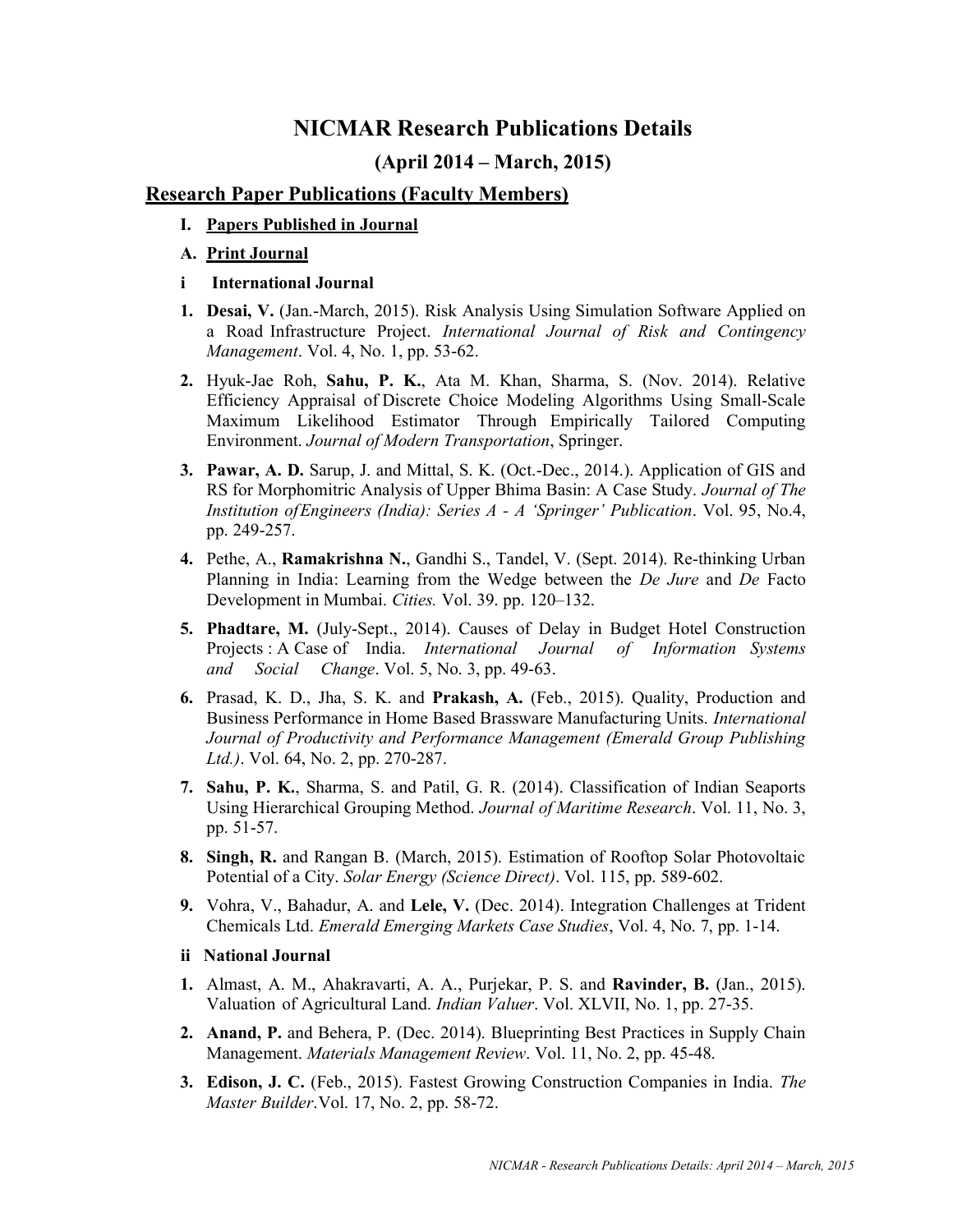# NICMAR Research Publications Details

# (April 2014 – March, 2015)

# Research Paper Publications (Faculty Members)

- I. Papers Published in Journal
- A. Print Journal
- i International Journal
- 1. Desai, V. (Jan.-March, 2015). Risk Analysis Using Simulation Software Applied on a Road Infrastructure Project. International Journal of Risk and Contingency Management. Vol. 4, No. 1, pp. 53-62.
- 2. Hyuk-Jae Roh, Sahu, P. K., Ata M. Khan, Sharma, S. (Nov. 2014). Relative Efficiency Appraisal of Discrete Choice Modeling Algorithms Using Small-Scale Maximum Likelihood Estimator Through Empirically Tailored Computing Environment. Journal of Modern Transportation, Springer.
- 3. Pawar, A. D. Sarup, J. and Mittal, S. K. (Oct.-Dec., 2014.). Application of GIS and RS for Morphomitric Analysis of Upper Bhima Basin: A Case Study. Journal of The Institution of Engineers (India): Series A - A 'Springer' Publication. Vol. 95, No.4, pp. 249-257.
- 4. Pethe, A., Ramakrishna N., Gandhi S., Tandel, V. (Sept. 2014). Re-thinking Urban Planning in India: Learning from the Wedge between the *De Jure* and *De* Facto Development in Mumbai. Cities. Vol. 39. pp. 120–132.
- 5. Phadtare, M. (July-Sept., 2014). Causes of Delay in Budget Hotel Construction Projects : A Case of India. International Journal of Information Systems and Social Change. Vol. 5, No. 3, pp. 49-63.
- 6. Prasad, K. D., Jha, S. K. and Prakash, A. (Feb., 2015). Quality, Production and Business Performance in Home Based Brassware Manufacturing Units. International Journal of Productivity and Performance Management (Emerald Group Publishing Ltd.). Vol. 64, No. 2, pp. 270-287.
- 7. Sahu, P. K., Sharma, S. and Patil, G. R. (2014). Classification of Indian Seaports Using Hierarchical Grouping Method. Journal of Maritime Research. Vol. 11, No. 3, pp. 51-57.
- 8. Singh, R. and Rangan B. (March, 2015). Estimation of Rooftop Solar Photovoltaic Potential of a City. Solar Energy (Science Direct). Vol. 115, pp. 589-602.
- 9. Vohra, V., Bahadur, A. and Lele, V. (Dec. 2014). Integration Challenges at Trident Chemicals Ltd. Emerald Emerging Markets Case Studies, Vol. 4, No. 7, pp. 1-14.
- ii National Journal
- 1. Almast, A. M., Ahakravarti, A. A., Purjekar, P. S. and Ravinder, B. (Jan., 2015). Valuation of Agricultural Land. Indian Valuer. Vol. XLVII, No. 1, pp. 27-35.
- 2. Anand, P. and Behera, P. (Dec. 2014). Blueprinting Best Practices in Supply Chain Management. Materials Management Review. Vol. 11, No. 2, pp. 45-48.
- 3. Edison, J. C. (Feb., 2015). Fastest Growing Construction Companies in India. The Master Builder. Vol. 17, No. 2, pp. 58-72.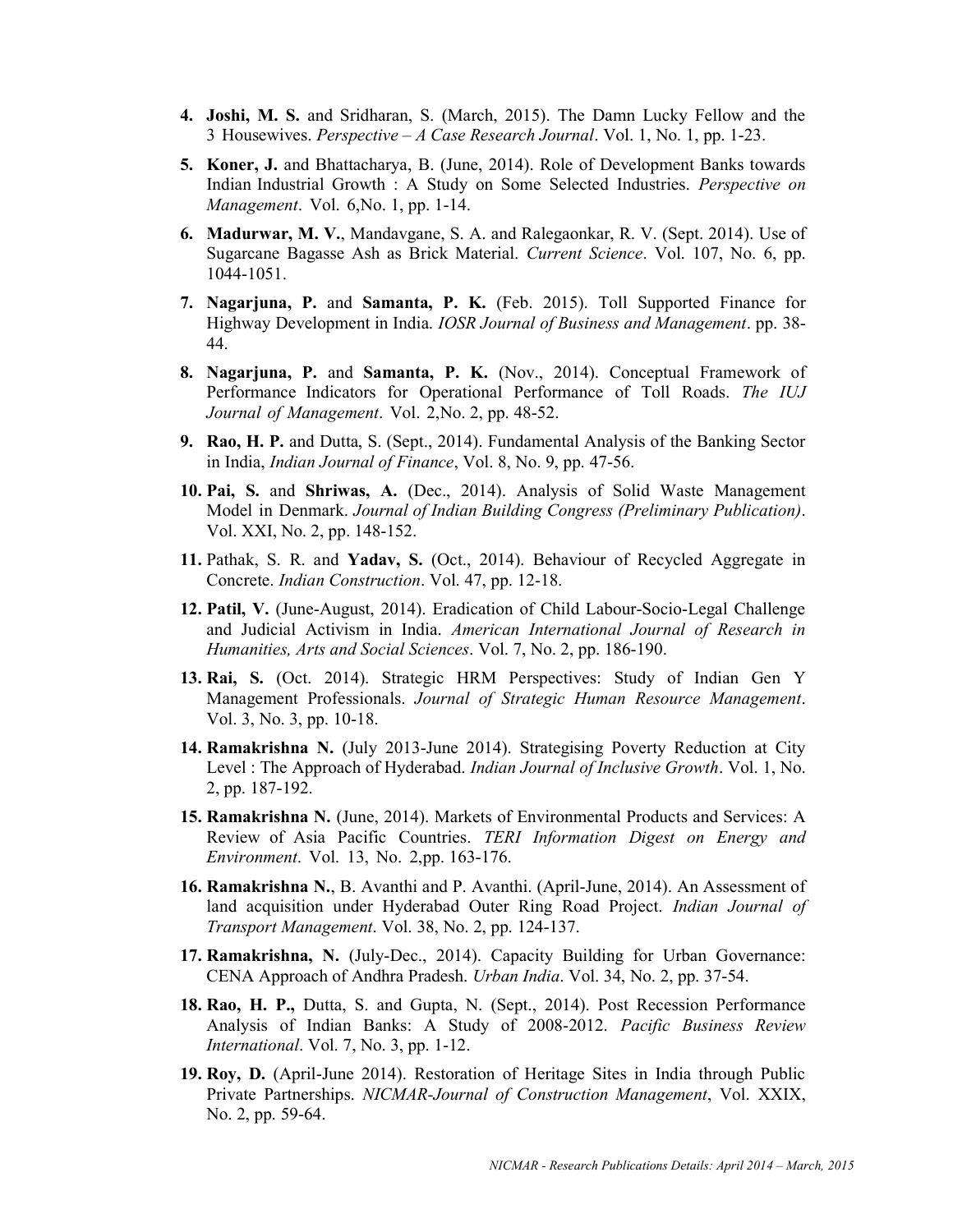- 4. Joshi, M. S. and Sridharan, S. (March, 2015). The Damn Lucky Fellow and the 3 Housewives. Perspective  $-A$  Case Research Journal. Vol. 1, No. 1, pp. 1-23.
- 5. Koner, J. and Bhattacharya, B. (June, 2014). Role of Development Banks towards Indian Industrial Growth : A Study on Some Selected Industries. Perspective on Management. Vol. 6, No. 1, pp. 1-14.
- 6. Madurwar, M. V., Mandavgane, S. A. and Ralegaonkar, R. V. (Sept. 2014). Use of Sugarcane Bagasse Ash as Brick Material. Current Science. Vol. 107, No. 6, pp. 1044-1051.
- 7. Nagarjuna, P. and Samanta, P. K. (Feb. 2015). Toll Supported Finance for Highway Development in India. IOSR Journal of Business and Management. pp. 38- 44.
- 8. Nagarjuna, P. and Samanta, P. K. (Nov., 2014). Conceptual Framework of Performance Indicators for Operational Performance of Toll Roads. The IUJ Journal of Management. Vol. 2, No. 2, pp. 48-52.
- 9. Rao, H. P. and Dutta, S. (Sept., 2014). Fundamental Analysis of the Banking Sector in India, Indian Journal of Finance, Vol. 8, No. 9, pp. 47-56.
- 10. Pai, S. and Shriwas, A. (Dec., 2014). Analysis of Solid Waste Management Model in Denmark. Journal of Indian Building Congress (Preliminary Publication). Vol. XXI, No. 2, pp. 148-152.
- 11. Pathak, S. R. and Yadav, S. (Oct., 2014). Behaviour of Recycled Aggregate in Concrete. Indian Construction. Vol. 47, pp. 12-18.
- 12. Patil, V. (June-August, 2014). Eradication of Child Labour-Socio-Legal Challenge and Judicial Activism in India. American International Journal of Research in Humanities, Arts and Social Sciences. Vol. 7, No. 2, pp. 186-190.
- 13. Rai, S. (Oct. 2014). Strategic HRM Perspectives: Study of Indian Gen Y Management Professionals. Journal of Strategic Human Resource Management. Vol. 3, No. 3, pp. 10-18.
- 14. Ramakrishna N. (July 2013-June 2014). Strategising Poverty Reduction at City Level : The Approach of Hyderabad. Indian Journal of Inclusive Growth. Vol. 1, No. 2, pp. 187-192.
- 15. Ramakrishna N. (June, 2014). Markets of Environmental Products and Services: A Review of Asia Pacific Countries. TERI Information Digest on Energy and Environment. Vol. 13, No. 2, pp. 163-176.
- 16. Ramakrishna N., B. Avanthi and P. Avanthi. (April-June, 2014). An Assessment of land acquisition under Hyderabad Outer Ring Road Project. Indian Journal of Transport Management. Vol. 38, No. 2, pp. 124-137.
- 17. Ramakrishna, N. (July-Dec., 2014). Capacity Building for Urban Governance: CENA Approach of Andhra Pradesh. Urban India. Vol. 34, No. 2, pp. 37-54.
- 18. Rao, H. P., Dutta, S. and Gupta, N. (Sept., 2014). Post Recession Performance Analysis of Indian Banks: A Study of 2008-2012. Pacific Business Review International. Vol. 7, No. 3, pp. 1-12.
- 19. Roy, D. (April-June 2014). Restoration of Heritage Sites in India through Public Private Partnerships. NICMAR-Journal of Construction Management, Vol. XXIX, No. 2, pp. 59-64.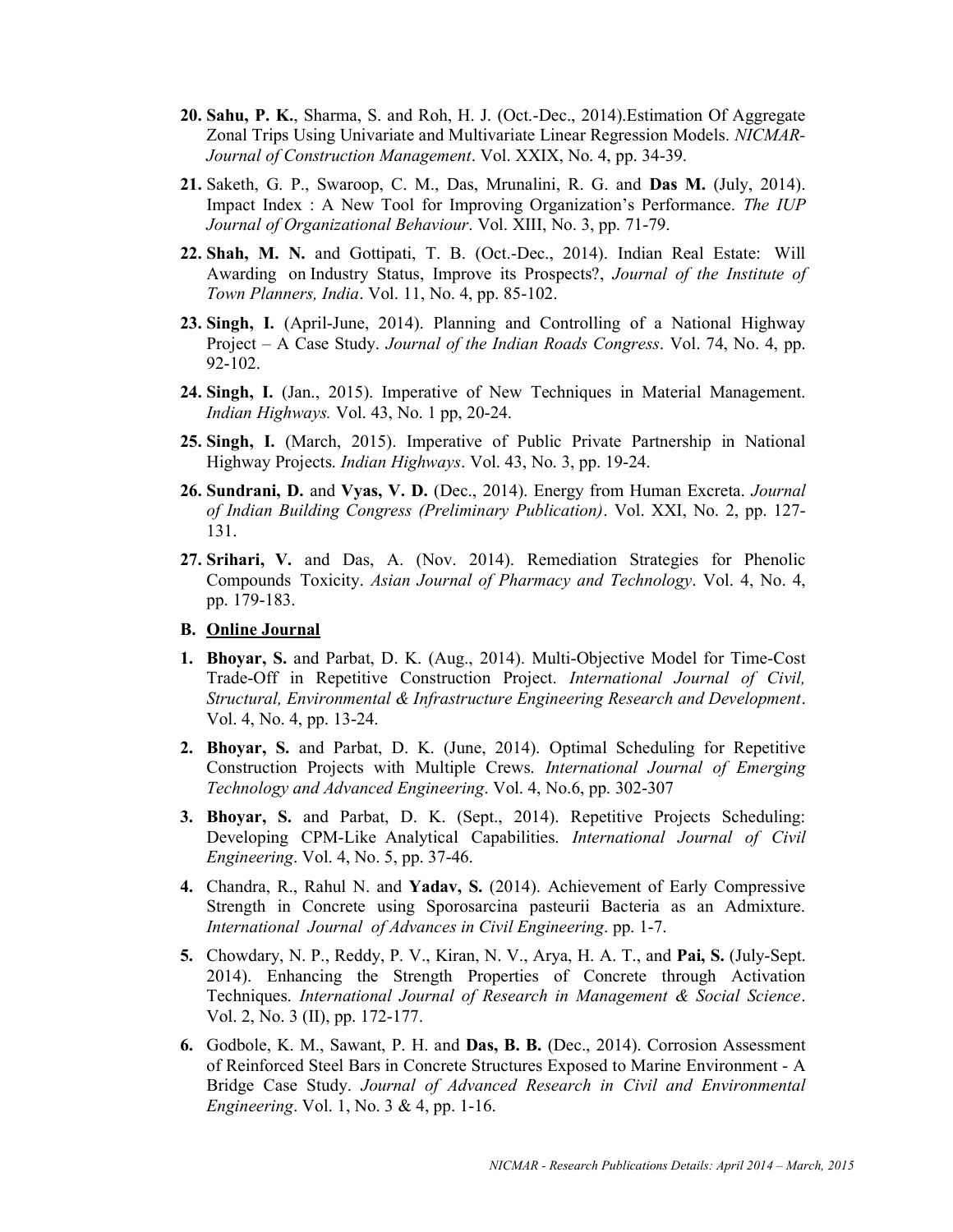- 20. Sahu, P. K., Sharma, S. and Roh, H. J. (Oct.-Dec., 2014).Estimation Of Aggregate Zonal Trips Using Univariate and Multivariate Linear Regression Models. NICMAR-Journal of Construction Management. Vol. XXIX, No. 4, pp. 34-39.
- 21. Saketh, G. P., Swaroop, C. M., Das, Mrunalini, R. G. and Das M. (July, 2014). Impact Index : A New Tool for Improving Organization's Performance. The IUP Journal of Organizational Behaviour. Vol. XIII, No. 3, pp. 71-79.
- 22. Shah, M. N. and Gottipati, T. B. (Oct.-Dec., 2014). Indian Real Estate: Will Awarding on Industry Status, Improve its Prospects?, Journal of the Institute of Town Planners, India. Vol. 11, No. 4, pp. 85-102.
- 23. Singh, I. (April-June, 2014). Planning and Controlling of a National Highway Project – A Case Study. Journal of the Indian Roads Congress. Vol. 74, No. 4, pp. 92-102.
- 24. Singh, I. (Jan., 2015). Imperative of New Techniques in Material Management. Indian Highways. Vol. 43, No. 1 pp, 20-24.
- 25. Singh, I. (March, 2015). Imperative of Public Private Partnership in National Highway Projects. Indian Highways. Vol. 43, No. 3, pp. 19-24.
- 26. Sundrani, D. and Vyas, V. D. (Dec., 2014). Energy from Human Excreta. Journal of Indian Building Congress (Preliminary Publication). Vol. XXI, No. 2, pp. 127- 131.
- 27. Srihari, V. and Das, A. (Nov. 2014). Remediation Strategies for Phenolic Compounds Toxicity. Asian Journal of Pharmacy and Technology. Vol. 4, No. 4, pp. 179-183.

#### B. Online Journal

- 1. Bhoyar, S. and Parbat, D. K. (Aug., 2014). Multi-Objective Model for Time-Cost Trade-Off in Repetitive Construction Project. International Journal of Civil, Structural, Environmental & Infrastructure Engineering Research and Development. Vol. 4, No. 4, pp. 13-24.
- 2. Bhoyar, S. and Parbat, D. K. (June, 2014). Optimal Scheduling for Repetitive Construction Projects with Multiple Crews. International Journal of Emerging Technology and Advanced Engineering. Vol. 4, No.6, pp. 302-307
- 3. Bhoyar, S. and Parbat, D. K. (Sept., 2014). Repetitive Projects Scheduling: Developing CPM-Like Analytical Capabilities. International Journal of Civil Engineering. Vol. 4, No. 5, pp. 37-46.
- 4. Chandra, R., Rahul N. and Yadav, S. (2014). Achievement of Early Compressive Strength in Concrete using Sporosarcina pasteurii Bacteria as an Admixture. International Journal of Advances in Civil Engineering. pp. 1-7.
- 5. Chowdary, N. P., Reddy, P. V., Kiran, N. V., Arya, H. A. T., and Pai, S. (July-Sept. 2014). Enhancing the Strength Properties of Concrete through Activation Techniques. International Journal of Research in Management & Social Science. Vol. 2, No. 3 (II), pp. 172-177.
- 6. Godbole, K. M., Sawant, P. H. and Das, B. B. (Dec., 2014). Corrosion Assessment of Reinforced Steel Bars in Concrete Structures Exposed to Marine Environment - A Bridge Case Study. Journal of Advanced Research in Civil and Environmental Engineering. Vol. 1, No. 3 & 4, pp. 1-16.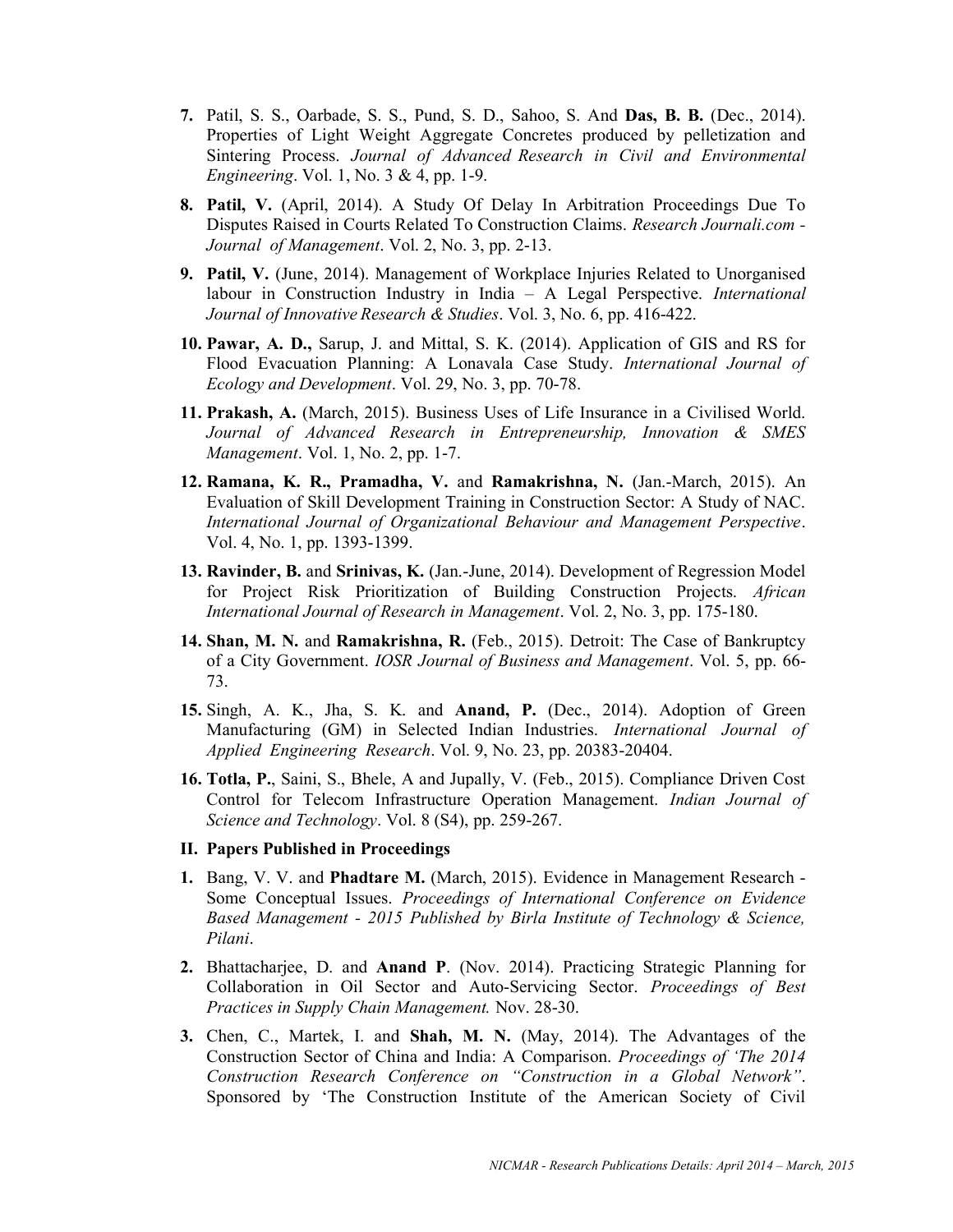- 7. Patil, S. S., Oarbade, S. S., Pund, S. D., Sahoo, S. And Das, B. B. (Dec., 2014). Properties of Light Weight Aggregate Concretes produced by pelletization and Sintering Process. Journal of Advanced Research in Civil and Environmental Engineering. Vol. 1, No. 3 & 4, pp. 1-9.
- 8. Patil, V. (April, 2014). A Study Of Delay In Arbitration Proceedings Due To Disputes Raised in Courts Related To Construction Claims. Research Journali.com - Journal of Management. Vol. 2, No. 3, pp. 2-13.
- 9. Patil, V. (June, 2014). Management of Workplace Injuries Related to Unorganised labour in Construction Industry in India – A Legal Perspective. International Journal of Innovative Research & Studies. Vol. 3, No. 6, pp. 416-422.
- 10. Pawar, A. D., Sarup, J. and Mittal, S. K. (2014). Application of GIS and RS for Flood Evacuation Planning: A Lonavala Case Study. International Journal of Ecology and Development. Vol. 29, No. 3, pp. 70-78.
- 11. Prakash, A. (March, 2015). Business Uses of Life Insurance in a Civilised World. Journal of Advanced Research in Entrepreneurship, Innovation & SMES Management. Vol. 1, No. 2, pp. 1-7.
- 12. Ramana, K. R., Pramadha, V. and Ramakrishna, N. (Jan.-March, 2015). An Evaluation of Skill Development Training in Construction Sector: A Study of NAC. International Journal of Organizational Behaviour and Management Perspective. Vol. 4, No. 1, pp. 1393-1399.
- 13. Ravinder, B. and Srinivas, K. (Jan.-June, 2014). Development of Regression Model for Project Risk Prioritization of Building Construction Projects. African International Journal of Research in Management. Vol. 2, No. 3, pp. 175-180.
- 14. Shan, M. N. and Ramakrishna, R. (Feb., 2015). Detroit: The Case of Bankruptcy of a City Government. IOSR Journal of Business and Management. Vol. 5, pp. 66- 73.
- 15. Singh, A. K., Jha, S. K. and Anand, P. (Dec., 2014). Adoption of Green Manufacturing (GM) in Selected Indian Industries. International Journal of Applied Engineering Research. Vol. 9, No. 23, pp. 20383-20404.
- 16. Totla, P., Saini, S., Bhele, A and Jupally, V. (Feb., 2015). Compliance Driven Cost Control for Telecom Infrastructure Operation Management. Indian Journal of Science and Technology. Vol. 8 (S4), pp. 259-267.
- II. Papers Published in Proceedings
- 1. Bang, V. V. and Phadtare M. (March, 2015). Evidence in Management Research Some Conceptual Issues. Proceedings of International Conference on Evidence Based Management - 2015 Published by Birla Institute of Technology & Science, Pilani.
- 2. Bhattacharjee, D. and Anand P. (Nov. 2014). Practicing Strategic Planning for Collaboration in Oil Sector and Auto-Servicing Sector. Proceedings of Best Practices in Supply Chain Management. Nov. 28-30.
- 3. Chen, C., Martek, I. and Shah, M. N. (May, 2014). The Advantages of the Construction Sector of China and India: A Comparison. Proceedings of 'The 2014 Construction Research Conference on "Construction in a Global Network". Sponsored by 'The Construction Institute of the American Society of Civil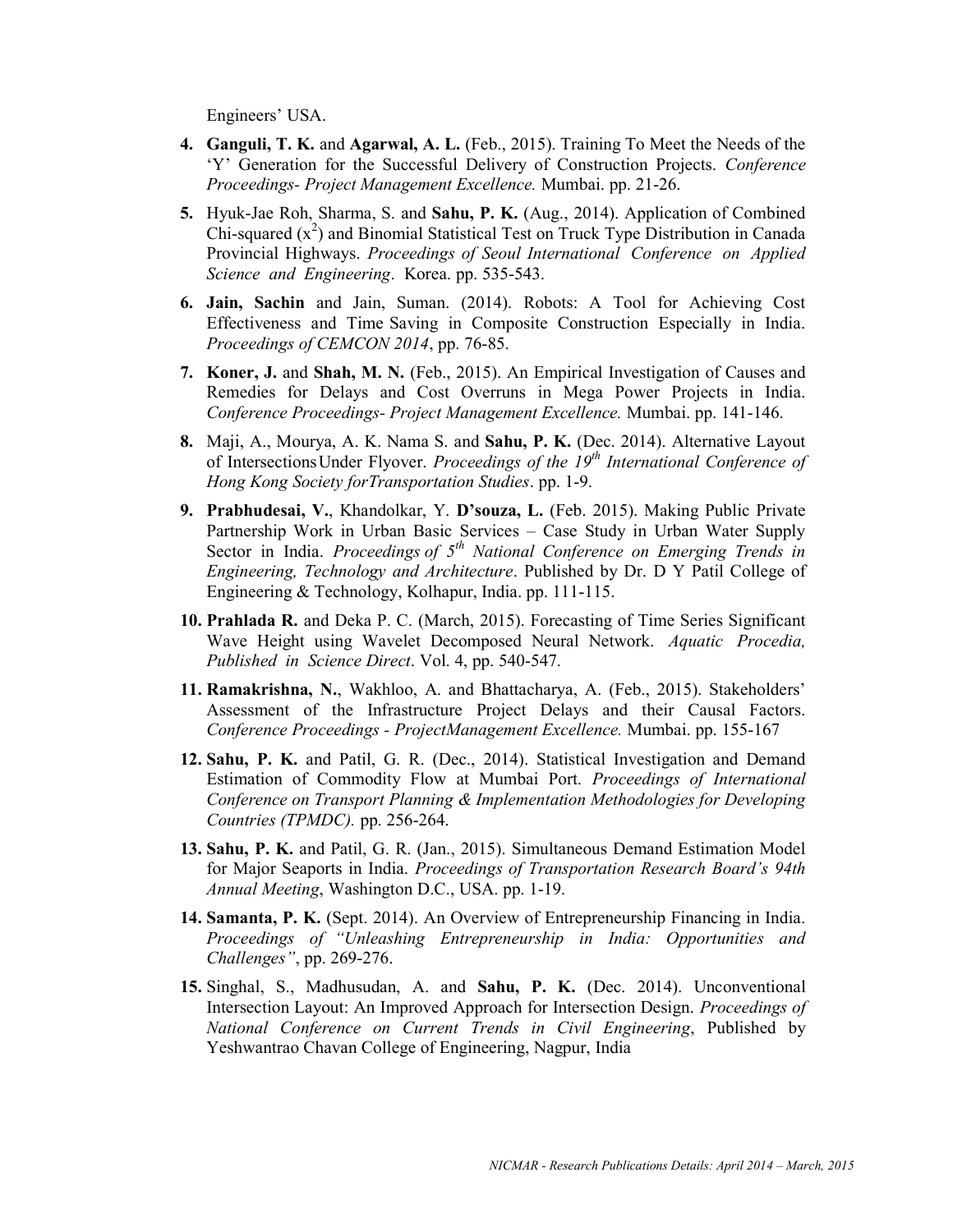Engineers' USA.

- 4. Ganguli, T. K. and Agarwal, A. L. (Feb., 2015). Training To Meet the Needs of the 'Y' Generation for the Successful Delivery of Construction Projects. Conference Proceedings- Project Management Excellence. Mumbai. pp. 21-26.
- 5. Hyuk-Jae Roh, Sharma, S. and Sahu, P. K. (Aug., 2014). Application of Combined Chi-squared  $(x^2)$  and Binomial Statistical Test on Truck Type Distribution in Canada Provincial Highways. Proceedings of Seoul International Conference on Applied Science and Engineering. Korea. pp. 535-543.
- 6. Jain, Sachin and Jain, Suman. (2014). Robots: A Tool for Achieving Cost Effectiveness and Time Saving in Composite Construction Especially in India. Proceedings of CEMCON 2014, pp. 76-85.
- 7. Koner, J. and Shah, M. N. (Feb., 2015). An Empirical Investigation of Causes and Remedies for Delays and Cost Overruns in Mega Power Projects in India. Conference Proceedings- Project Management Excellence. Mumbai. pp. 141-146.
- 8. Maji, A., Mourya, A. K. Nama S. and Sahu, P. K. (Dec. 2014). Alternative Layout of Intersections Under Flyover. Proceedings of the  $19<sup>th</sup>$  International Conference of Hong Kong Society for Transportation Studies. pp. 1-9.
- 9. Prabhudesai, V., Khandolkar, Y. D'souza, L. (Feb. 2015). Making Public Private Partnership Work in Urban Basic Services – Case Study in Urban Water Supply Sector in India. Proceedings of  $5<sup>th</sup>$  National Conference on Emerging Trends in Engineering, Technology and Architecture. Published by Dr. D Y Patil College of Engineering & Technology, Kolhapur, India. pp. 111-115.
- 10. Prahlada R. and Deka P. C. (March, 2015). Forecasting of Time Series Significant Wave Height using Wavelet Decomposed Neural Network. Aquatic Procedia, Published in Science Direct. Vol. 4, pp. 540-547.
- 11. Ramakrishna, N., Wakhloo, A. and Bhattacharya, A. (Feb., 2015). Stakeholders' Assessment of the Infrastructure Project Delays and their Causal Factors. Conference Proceedings - Project Management Excellence. Mumbai. pp. 155-167
- 12. Sahu, P. K. and Patil, G. R. (Dec., 2014). Statistical Investigation and Demand Estimation of Commodity Flow at Mumbai Port. Proceedings of International Conference on Transport Planning & Implementation Methodologies for Developing Countries (TPMDC). pp. 256-264.
- 13. Sahu, P. K. and Patil, G. R. (Jan., 2015). Simultaneous Demand Estimation Model for Major Seaports in India. Proceedings of Transportation Research Board's 94th Annual Meeting, Washington D.C., USA. pp. 1-19.
- 14. Samanta, P. K. (Sept. 2014). An Overview of Entrepreneurship Financing in India. Proceedings of "Unleashing Entrepreneurship in India: Opportunities and Challenges", pp. 269-276.
- 15. Singhal, S., Madhusudan, A. and Sahu, P. K. (Dec. 2014). Unconventional Intersection Layout: An Improved Approach for Intersection Design. Proceedings of National Conference on Current Trends in Civil Engineering, Published by Yeshwantrao Chavan College of Engineering, Nagpur, India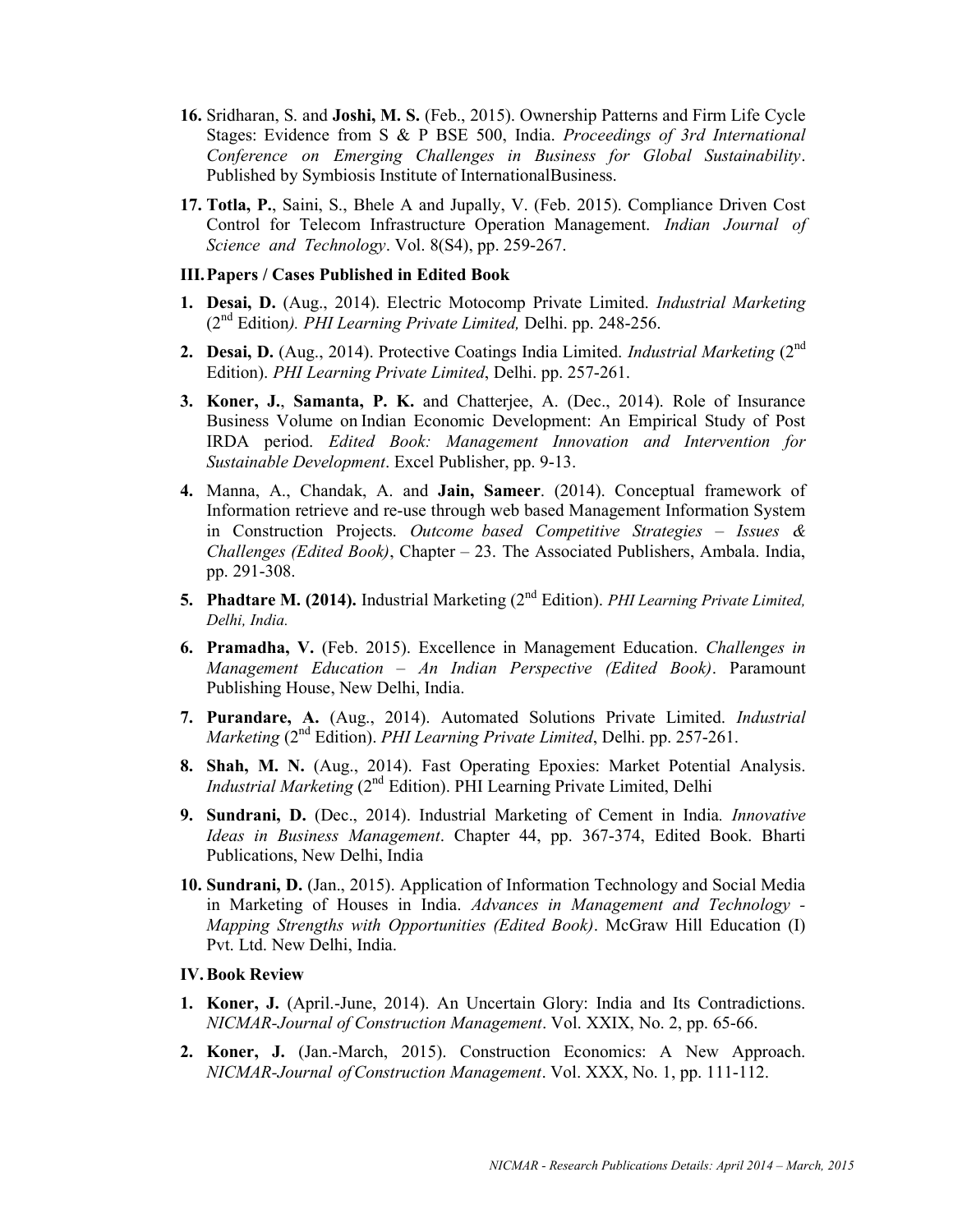- 16. Sridharan, S. and Joshi, M. S. (Feb., 2015). Ownership Patterns and Firm Life Cycle Stages: Evidence from S & P BSE 500, India. Proceedings of 3rd International Conference on Emerging Challenges in Business for Global Sustainability. Published by Symbiosis Institute of International Business.
- 17. Totla, P., Saini, S., Bhele A and Jupally, V. (Feb. 2015). Compliance Driven Cost Control for Telecom Infrastructure Operation Management. Indian Journal of Science and Technology. Vol. 8(S4), pp. 259-267.

## III.Papers / Cases Published in Edited Book

- 1. Desai, D. (Aug., 2014). Electric Motocomp Private Limited. Industrial Marketing  $(2<sup>nd</sup> Edition)$ . PHI Learning Private Limited, Delhi. pp. 248-256.
- 2. Desai, D. (Aug., 2014). Protective Coatings India Limited. Industrial Marketing (2<sup>nd</sup> Edition). PHI Learning Private Limited, Delhi. pp. 257-261.
- 3. Koner, J., Samanta, P. K. and Chatterjee, A. (Dec., 2014). Role of Insurance Business Volume on Indian Economic Development: An Empirical Study of Post IRDA period. Edited Book: Management Innovation and Intervention for Sustainable Development. Excel Publisher, pp. 9-13.
- 4. Manna, A., Chandak, A. and Jain, Sameer. (2014). Conceptual framework of Information retrieve and re-use through web based Management Information System in Construction Projects. Outcome based Competitive Strategies – Issues & Challenges (Edited Book), Chapter  $-23$ . The Associated Publishers, Ambala. India, pp. 291-308.
- **5. Phadtare M. (2014).** Industrial Marketing  $(2^{nd}$  Edition). *PHI Learning Private Limited*, Delhi, India.
- 6. Pramadha, V. (Feb. 2015). Excellence in Management Education. Challenges in Management Education – An Indian Perspective (Edited Book). Paramount Publishing House, New Delhi, India.
- 7. Purandare, A. (Aug., 2014). Automated Solutions Private Limited. Industrial Marketing  $(2<sup>nd</sup> Edition)$ . PHI Learning Private Limited, Delhi. pp. 257-261.
- 8. Shah, M. N. (Aug., 2014). Fast Operating Epoxies: Market Potential Analysis. *Industrial Marketing* ( $2<sup>nd</sup>$  Edition). PHI Learning Private Limited, Delhi
- 9. Sundrani, D. (Dec., 2014). Industrial Marketing of Cement in India. Innovative Ideas in Business Management. Chapter 44, pp. 367-374, Edited Book. Bharti Publications, New Delhi, India
- 10. Sundrani, D. (Jan., 2015). Application of Information Technology and Social Media in Marketing of Houses in India. Advances in Management and Technology - Mapping Strengths with Opportunities (Edited Book). McGraw Hill Education (I) Pvt. Ltd. New Delhi, India.

## IV.Book Review

- 1. Koner, J. (April.-June, 2014). An Uncertain Glory: India and Its Contradictions. NICMAR- Journal of Construction Management. Vol. XXIX, No. 2, pp. 65-66.
- 2. Koner, J. (Jan.-March, 2015). Construction Economics: A New Approach. NICMAR-Journal of Construction Management. Vol. XXX, No. 1, pp. 111-112.